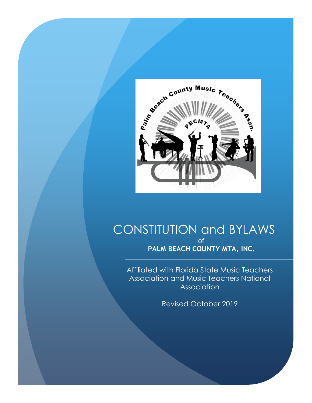

# CONSTITUTION and BYLAWS of **PALM BEACH COUNTY MTA, INC.**

Affiliated with Florida State Music Teachers Association and Music Teachers National Association

Revised October 2019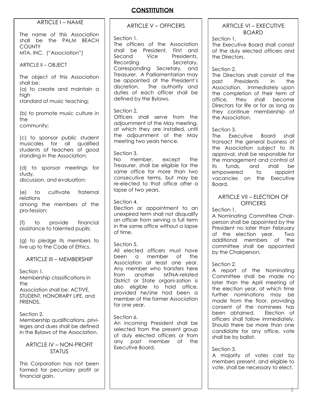# **CONSTITUTION**

### $ARTICIFI - NAME$

The name of this Association shall be the PALM BEACH **COUNTY** MTA, INC. ("Association")

ARTICLE II – OBJECT

The object of this Association shall be: (a) to create and maintain a high standard of music teaching;

(b) to promote music culture in the

community;

(c) to sponsor public student musicales for all qualified students of teachers of good standing in the Association;

(d) to sponsor meetings for study, discussion, and evaluation;

(e) to cultivate fraternal relations among the members of the pro-fession;

(f) to provide financial assistance to talented pupils;

(g) to pledge its members to live up to the Code of Ethics.

ARTICLE III – MEMBERSHIP

Section 1. Membership classifications in the

Association shall be: ACTIVE, STUDENT, HONORARY LIFE, and FRIENDS.

Section 2. Membership qualifications, privileges and dues shall be defined in the Bylaws of the Association.

ARTICLE IV – NON-PROFIT **STATUS** 

This Corporation has not been formed for pecuniary profit or financial aain.

ARTICLE V – OFFICERS

#### Section 1.

The officers of the Association shall be President, First and Second Vice Presidents, Recording Secretary, Corresponding Secretary, and Treasurer. A Parliamentarian may be appointed at the President's discretion. The authority and duties of each officer shall be defined by the Bylaws.

### Section 2.

Officers shall serve from the adjournment of the May meeting, at which they are installed, until the adjournment of the May meeting two years hence.

#### Section 3.

No member, except the Treasurer, shall be eligible for the same office for more than two consecutive terms, but may be re-elected to that office after a lapse of two years.

#### Section 4.

Election or appointment to an unexpired term shall not disqualify an officer from serving a full term in the same office without a lapse of time.

### Section 5.

All elected officers must have been a member of the Association at least one year. Any member who transfers here from another MTNA-related District or State organi-zation is also eligible to hold office, provided he/she had been a member of the former Association for one year.

#### Section 6.

An incoming President shall be selected from the present group of duly elected officers or from any past member of the Executive Board.

### ARTICLE VI – EXECUTIVE BOARD

Section 1.

The Executive Board shall consist of the duly elected officers and the Directors.

### Section 2.

The Directors shall consist of the past Presidents in the Association. Immediately upon the completion of their term of office, they shall become Directors for life or for as long as they continue membership of the Association.

#### Section 3.

The Executive Board shall transact the general business of the Association subject to its approval, shall be responsible for the management and control of its funds, and shall be empowered to appoint vacancies on the Executive Board.

### ARTICLE VII – ELECTION OF **OFFICERS**

#### Section 1.

A Nominating Committee Chairperson shall be appointed by the President no later than February of the election year. Two additional members of the committee shall be appointed by the Chairperson.

### Section 2.

A report of the Nominating Committee shall be made no later than the April meeting of the election year, at which time further nominations may be made from the floor, providing consent of the nominees has been obtained. Election of officers shall follow immediately. Should there be more than one candidate for any office, vote shall be by ballot.

#### Section 3.

A majority of votes cast by members present, and eligible to vote, shall be necessary to elect.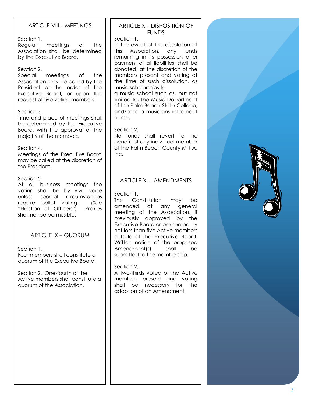# ARTICLE VIII – MEETINGS

Section 1.

Regular meetings of the Association shall be determined by the Exec-utive Board.

#### Section 2.

Special meetings of the Association may be called by the President at the order of the Executive Board, or upon the request of five voting members.

#### Section 3.

Time and place of meetings shall be determined by the Executive Board, with the approval of the majority of the members.

#### Section 4.

Meetings of the Executive Board may be called at the discretion of the President.

#### Section 5.

At all business meetings the voting shall be by viva voce unless special circumstances require ballot voting. (See "Election of Officers") Proxies shall not be permissible.

### ARTICLE IX – QUORUM

Section 1.

Four members shall constitute a quorum of the Executive Board.

Section 2. One-fourth of the Active members shall constitute a quorum of the Association.

### ARTICLE X – DISPOSITION OF FUNDS

Section 1. In the event of the dissolution of this Association, any funds remaining in its possession after payment of all liabilities, shall be donated, at the discretion of the members present and voting at the time of such dissolution, as music scholarships to a music school such as, but not limited to, the Music Department of the Palm Beach State College, and/or to a musicians retirement home.

#### Section 2.

No funds shall revert to the benefit of any individual member of the Palm Beach County M T A, Inc.

# ARTICLE XI – AMENDMENTS

#### Section 1.

The Constitution may be amended at any general meeting of the Association, if previously approved by the Executive Board or pre-sented by not less than five Active members outside of the Executive Board. Written notice of the proposed Amendment(s) shall be submitted to the membership.

#### Section 2.

A two-thirds voted of the Active members present and voting shall be necessary for the adoption of an Amendment.

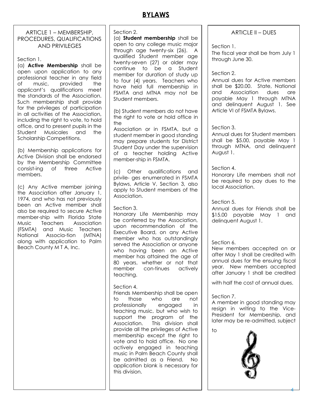# **BYLAWS**

# ARTICLE 1 – MEMBERSHIP, PROCEDURES, QUALIFICATIONS AND PRIVILEGES

Section 1.

(a) **Active Membership** shall be open upon application to any professional teacher in any field of music, provided the applicant's qualifications meet the standards of the Association. Such membership shall provide for the privileges of participation in all activities of the Association, including the right to vote, to hold office, and to present pupils in the Student Musicales and the Scholarship Competitions.

(b) Membership applications for Active Division shall be endorsed by the Membership Committee consist-ing of three Active members.

(c) Any Active member joining the Association after January 1, 1974, and who has not previously been an Active member shall also be required to secure Active member-ship with Florida State Music Teachers Association (FSMTA) and Music Teachers National Associa-tion (MTNA) along with application to Palm Beach County M T A, Inc.

Section 2.

(a) **Student membership** shall be open to any college music major through age twenty-six (26). A qualified Student member age twenty-seven (27) or older may continue to be a Student member for duration of study up to four (4) years. Teachers who have held full membership in FSMTA and MTNA may not be Student members.

(b) Student members do not have the right to vote or hold office in the

Association or in FSMTA, but a student member in good standing may prepare students for District Student Day under the supervision of a teacher holding Active member-ship in FSMTA.

(c) Other qualifications and privile- ges enumerated in FSMTA Bylaws, Article V, Section 3, also apply to Student members of the Association.

### Section 3.

Honorary Life Membership may be conferred by the Association, upon recommendation of the Executive Board, on any Active member who has outstandingly served the Association or anyone who having been an Active member has attained the age of 80 years, whether or not that member con-tinues actively teaching.

### Section 4.

Friends Membership shall be open to those who are not professionally engaged in teaching music, but who wish to support the program of the Association. This division shall provide all the privileges of Active membership except the right to vote and to hold office. No one actively engaged in teaching music in Palm Beach County shall be admitted as a Friend. No application blank is necessary for this division.

ARTICLE II – DUES

Section 1.

The fiscal year shall be from July 1 through June 30.

### Section 2.

Annual dues for Active members shall be \$20.00. State, National and Association dues are payable May 1 through MTNA and delinquent August 1. See Article VI of FSMTA Bylaws.

### Section 3.

Annual dues for Student members shall be \$5.00, payable May 1 through MTNA, and delinquent August 1.

# Section 4.

Honorary Life members shall not be required to pay dues to the local Association.

# Section 5.

Annual dues for Friends shall be \$15.00 payable May 1 and delinquent August 1.

# Section 6.

New members accepted on or after May 1 shall be credited with annual dues for the ensuing fiscal year. New members accepted after January 1 shall be credited

with half the cost of annual dues.

# Section 7.

A member in good standing may resign in writing to the Vice-President for Membership, and later may be re-admitted, subject

to



4